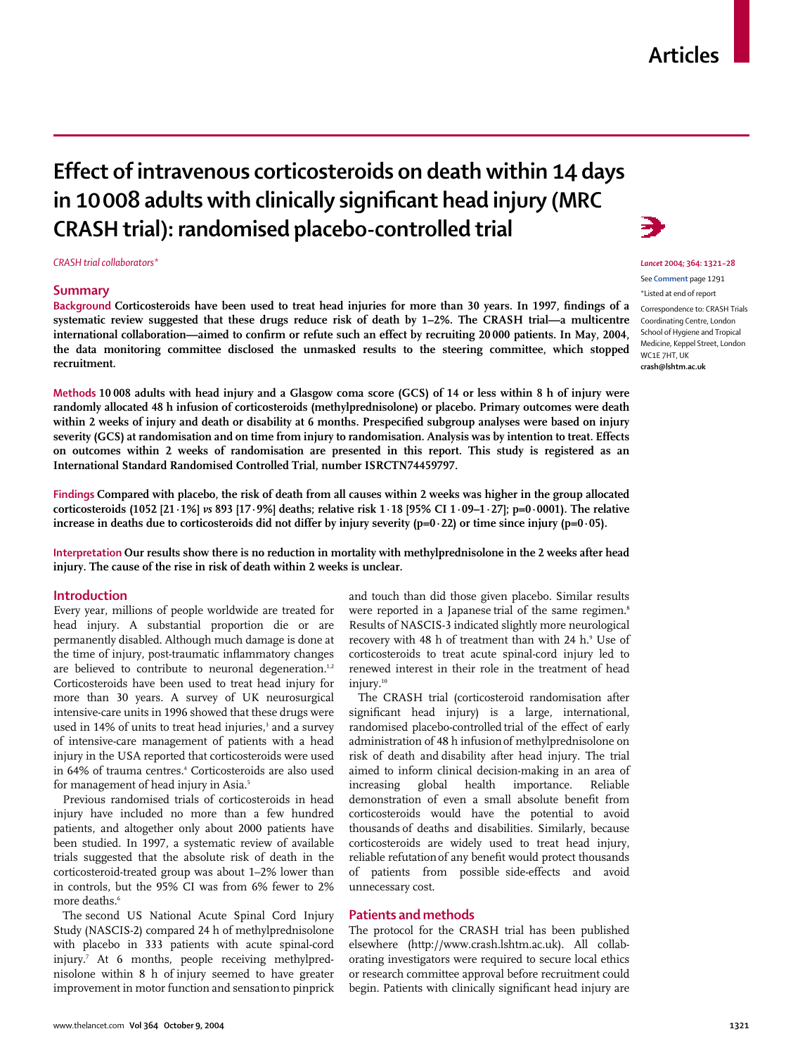#### www.thelancet.com **Vol 364 October 9, 2004 1321**

# **Effect of intravenous corticosteroids on death within 14 days in 10008 adults with clinically significant head injury (MRC CRASH trial): randomised placebo-controlled trial**

*CRASH trial collaborators\**

## **Summary**

**Background Corticosteroids have been used to treat head injuries for more than 30 years. In 1997, findings of a systematic review suggested that these drugs reduce risk of death by 1–2%. The CRASH trial—a multicentre international collaboration—aimed to confirm or refute such an effect by recruiting 20 000 patients. In May, 2004, the data monitoring committee disclosed the unmasked results to the steering committee, which stopped recruitment.** 

**Methods 10 008 adults with head injury and a Glasgow coma score (GCS) of 14 or less within 8 h of injury were randomly allocated 48 h infusion of corticosteroids (methylprednisolone) or placebo. Primary outcomes were death within 2 weeks of injury and death or disability at 6 months. Prespecified subgroup analyses were based on injury severity (GCS) at randomisation and on time from injury to randomisation. Analysis was by intention to treat. Effects on outcomes within 2 weeks of randomisation are presented in this report. This study is registered as an International Standard Randomised Controlled Trial, number ISRCTN74459797.**

**Findings Compared with placebo, the risk of death from all causes within 2 weeks was higher in the group allocated corticosteroids (1052 [21·1%]** *vs* **893 [17·9%] deaths; relative risk 1·18 [95% CI 1·09–1·27]; p=0·0001). The relative** increase in deaths due to corticosteroids did not differ by injury severity  $(p=0.22)$  or time since injury  $(p=0.05)$ .

**Interpretation Our results show there is no reduction in mortality with methylprednisolone in the 2 weeks after head injury. The cause of the rise in risk of death within 2 weeks is unclear.**

## **Introduction**

Every year, millions of people worldwide are treated for head injury. A substantial proportion die or are permanently disabled. Although much damage is done at the time of injury, post-traumatic inflammatory changes are believed to contribute to neuronal degeneration.<sup>1,2</sup> Corticosteroids have been used to treat head injury for more than 30 years. A survey of UK neurosurgical intensive-care units in 1996 showed that these drugs were used in 14% of units to treat head injuries,<sup>3</sup> and a survey of intensive-care management of patients with a head injury in the USA reported that corticosteroids were used in 64% of trauma centres.<sup>4</sup> Corticosteroids are also used for management of head injury in Asia.<sup>5</sup>

Previous randomised trials of corticosteroids in head injury have included no more than a few hundred patients, and altogether only about 2000 patients have been studied. In 1997, a systematic review of available trials suggested that the absolute risk of death in the corticosteroid-treated group was about 1–2% lower than in controls, but the 95% CI was from 6% fewer to 2% more deaths.<sup>6</sup>

The second US National Acute Spinal Cord Injury Study (NASCIS-2) compared 24 h of methylprednisolone with placebo in 333 patients with acute spinal-cord injury.<sup>7</sup> At 6 months, people receiving methylprednisolone within 8 h of injury seemed to have greater improvement in motor function and sensationto pinprick and touch than did those given placebo. Similar results were reported in a Japanese trial of the same regimen.<sup>8</sup> Results of NASCIS-3 indicated slightly more neurological recovery with 48 h of treatment than with 24 h.<sup>9</sup> Use of corticosteroids to treat acute spinal-cord injury led to renewed interest in their role in the treatment of head injury.<sup>10</sup>

The CRASH trial (corticosteroid randomisation after significant head injury) is a large, international, randomised placebo-controlled trial of the effect of early administration of 48 h infusionof methylprednisolone on risk of death and disability after head injury. The trial aimed to inform clinical decision-making in an area of increasing global health importance. Reliable demonstration of even a small absolute benefit from corticosteroids would have the potential to avoid thousands of deaths and disabilities. Similarly, because corticosteroids are widely used to treat head injury, reliable refutationof any benefit would protect thousands of patients from possible side-effects and avoid unnecessary cost.

# **Patients and methods**

The protocol for the CRASH trial has been published elsewhere (http://www.crash.lshtm.ac.uk). All collaborating investigators were required to secure local ethics or research committee approval before recruitment could begin. Patients with clinically significant head injury are



*Lancet* **2004; 364: 1321–28** See **Comment** page 1291

\*Listed at end of report

Correspondence to: CRASH Trials Coordinating Centre, London School of Hygiene and Tropical Medicine, Keppel Street, London WC1E 7HT, UK **crash@lshtm.ac.uk**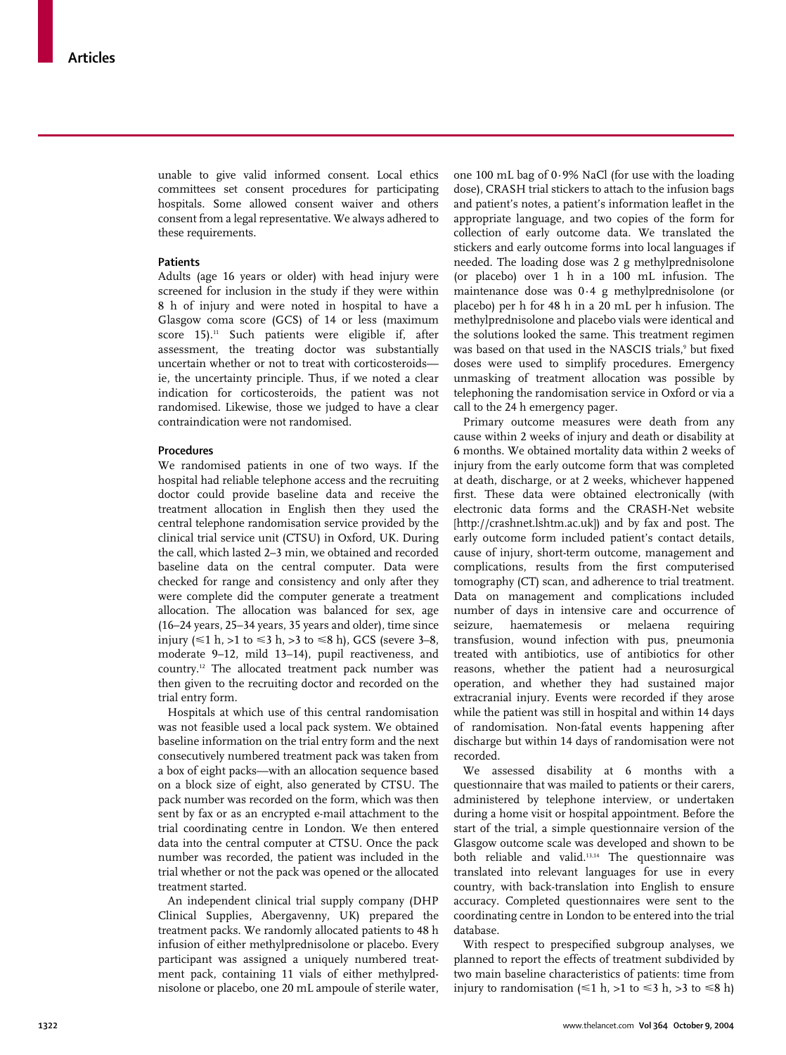unable to give valid informed consent. Local ethics committees set consent procedures for participating hospitals. Some allowed consent waiver and others consent from a legal representative. We always adhered to these requirements.

## **Patients**

Adults (age 16 years or older) with head injury were screened for inclusion in the study if they were within 8 h of injury and were noted in hospital to have a Glasgow coma score (GCS) of 14 or less (maximum score 15).<sup>11</sup> Such patients were eligible if, after assessment, the treating doctor was substantially uncertain whether or not to treat with corticosteroids ie, the uncertainty principle. Thus, if we noted a clear indication for corticosteroids, the patient was not randomised. Likewise, those we judged to have a clear contraindication were not randomised.

## **Procedures**

We randomised patients in one of two ways. If the hospital had reliable telephone access and the recruiting doctor could provide baseline data and receive the treatment allocation in English then they used the central telephone randomisation service provided by the clinical trial service unit (CTSU) in Oxford, UK. During the call, which lasted 2–3 min, we obtained and recorded baseline data on the central computer. Data were checked for range and consistency and only after they were complete did the computer generate a treatment allocation. The allocation was balanced for sex, age (16–24 years, 25–34 years, 35 years and older), time since injury ( $\leq 1$  h,  $>1$  to  $\leq 3$  h,  $>3$  to  $\leq 8$  h), GCS (severe 3–8, moderate 9–12, mild 13–14), pupil reactiveness, and country.12 The allocated treatment pack number was then given to the recruiting doctor and recorded on the trial entry form.

Hospitals at which use of this central randomisation was not feasible used a local pack system. We obtained baseline information on the trial entry form and the next consecutively numbered treatment pack was taken from a box of eight packs—with an allocation sequence based on a block size of eight, also generated by CTSU. The pack number was recorded on the form, which was then sent by fax or as an encrypted e-mail attachment to the trial coordinating centre in London. We then entered data into the central computer at CTSU. Once the pack number was recorded, the patient was included in the trial whether or not the pack was opened or the allocated treatment started.

An independent clinical trial supply company (DHP Clinical Supplies, Abergavenny, UK) prepared the treatment packs. We randomly allocated patients to 48 h infusion of either methylprednisolone or placebo. Every participant was assigned a uniquely numbered treatment pack, containing 11 vials of either methylprednisolone or placebo, one 20 mL ampoule of sterile water, one 100 mL bag of 0·9% NaCl (for use with the loading dose), CRASH trial stickers to attach to the infusion bags and patient's notes, a patient's information leaflet in the appropriate language, and two copies of the form for collection of early outcome data. We translated the stickers and early outcome forms into local languages if needed. The loading dose was 2 g methylprednisolone (or placebo) over 1 h in a 100 mL infusion. The maintenance dose was 0·4 g methylprednisolone (or placebo) per h for 48 h in a 20 mL per h infusion. The methylprednisolone and placebo vials were identical and the solutions looked the same. This treatment regimen was based on that used in the NASCIS trials,<sup>9</sup> but fixed doses were used to simplify procedures. Emergency unmasking of treatment allocation was possible by telephoning the randomisation service in Oxford or via a call to the 24 h emergency pager.

Primary outcome measures were death from any cause within 2 weeks of injury and death or disability at 6 months. We obtained mortality data within 2 weeks of injury from the early outcome form that was completed at death, discharge, or at 2 weeks, whichever happened first. These data were obtained electronically (with electronic data forms and the CRASH-Net website [http://crashnet.lshtm.ac.uk]) and by fax and post. The early outcome form included patient's contact details, cause of injury, short-term outcome, management and complications, results from the first computerised tomography (CT) scan, and adherence to trial treatment. Data on management and complications included number of days in intensive care and occurrence of seizure, haematemesis or melaena requiring transfusion, wound infection with pus, pneumonia treated with antibiotics, use of antibiotics for other reasons, whether the patient had a neurosurgical operation, and whether they had sustained major extracranial injury. Events were recorded if they arose while the patient was still in hospital and within 14 days of randomisation. Non-fatal events happening after discharge but within 14 days of randomisation were not recorded.

We assessed disability at 6 months with a questionnaire that was mailed to patients or their carers, administered by telephone interview, or undertaken during a home visit or hospital appointment. Before the start of the trial, a simple questionnaire version of the Glasgow outcome scale was developed and shown to be both reliable and valid.13,14 The questionnaire was translated into relevant languages for use in every country, with back-translation into English to ensure accuracy. Completed questionnaires were sent to the coordinating centre in London to be entered into the trial database.

With respect to prespecified subgroup analyses, we planned to report the effects of treatment subdivided by two main baseline characteristics of patients: time from injury to randomisation ( $\leq 1$  h, >1 to  $\leq 3$  h, >3 to  $\leq 8$  h)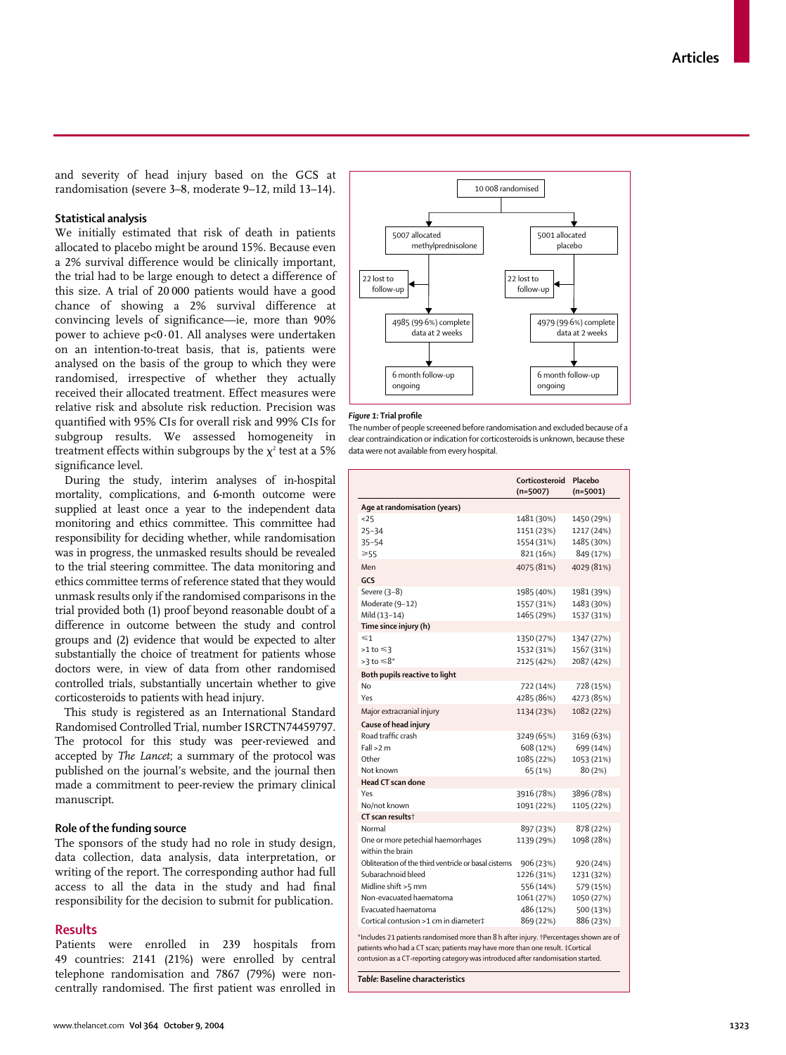and severity of head injury based on the GCS at randomisation (severe 3–8, moderate 9–12, mild 13–14).

# **Statistical analysis**

We initially estimated that risk of death in patients allocated to placebo might be around 15%. Because even a 2% survival difference would be clinically important, the trial had to be large enough to detect a difference of this size. A trial of 20 000 patients would have a good chance of showing a 2% survival difference at convincing levels of significance—ie, more than 90% power to achieve p<0·01. All analyses were undertaken on an intention-to-treat basis, that is, patients were analysed on the basis of the group to which they were randomised, irrespective of whether they actually received their allocated treatment. Effect measures were relative risk and absolute risk reduction. Precision was quantified with 95% CIs for overall risk and 99% CIs for subgroup results. We assessed homogeneity in treatment effects within subgroups by the  $\chi^2$  test at a 5% significance level.

During the study, interim analyses of in-hospital mortality, complications, and 6-month outcome were supplied at least once a year to the independent data monitoring and ethics committee. This committee had responsibility for deciding whether, while randomisation was in progress, the unmasked results should be revealed to the trial steering committee. The data monitoring and ethics committee terms of reference stated that they would unmask results only if the randomised comparisons in the trial provided both (1) proof beyond reasonable doubt of a difference in outcome between the study and control groups and (2) evidence that would be expected to alter substantially the choice of treatment for patients whose doctors were, in view of data from other randomised controlled trials, substantially uncertain whether to give corticosteroids to patients with head injury.

This study is registered as an International Standard Randomised Controlled Trial, number ISRCTN74459797. The protocol for this study was peer-reviewed and accepted by *The Lancet*; a summary of the protocol was published on the journal's website, and the journal then made a commitment to peer-review the primary clinical manuscript.

#### **Role of the funding source**

The sponsors of the study had no role in study design, data collection, data analysis, data interpretation, or writing of the report. The corresponding author had full access to all the data in the study and had final responsibility for the decision to submit for publication.

## **Results**

Patients were enrolled in 239 hospitals from 49 countries: 2141 (21%) were enrolled by central telephone randomisation and 7867 (79%) were noncentrally randomised. The first patient was enrolled in



#### *Figure 1:* **Trial profile**

The number of people screeened before randomisation and excluded because of a clear contraindication or indication for corticosteroids is unknown, because these data were not available from every hospital.

| Age at randomisation (years)<br>1481 (30%)<br>25<br>1450 (29%)<br>$25 - 34$<br>1151 (23%)<br>1217 (24%)<br>1485 (30%)<br>$35 - 54$<br>1554 (31%)<br>821 (16%)<br>849 (17%)<br>$\geqslant$ 55<br>4075 (81%)<br>4029 (81%)<br>Men<br>GCS<br>Severe (3-8)<br>1985 (40%)<br>1981 (39%)<br>Moderate (9-12)<br>1483 (30%)<br>1557 (31%)<br>Mild (13-14)<br>1465 (29%)<br>1537 (31%)<br>Time since injury (h)<br>$\leq 1$<br>1350 (27%)<br>1347 (27%)<br>1567 (31%)<br>$>1$ to $\leq 3$<br>1532 (31%)<br>$>3$ to $\leq 8^*$<br>2087 (42%)<br>2125 (42%)<br>Both pupils reactive to light<br>No<br>722 (14%)<br>728 (15%)<br>4285 (86%)<br>Yes<br>4273 (85%)<br>Major extracranial injury<br>1134 (23%)<br>1082 (22%)<br>Cause of head injury<br>Road traffic crash<br>3249 (65%)<br>3169 (63%)<br>$Fall > 2$ m<br>608 (12%)<br>699 (14%)<br>Other<br>1085 (22%)<br>1053 (21%)<br>Not known<br>65 (1%)<br>80 (2%)<br>Head CT scan done<br>Yes<br>3916 (78%)<br>3896 (78%)<br>No/not known<br>1091 (22%)<br>1105 (22%)<br>CT scan results†<br>Normal<br>897 (23%)<br>878 (22%)<br>One or more petechial haemorrhages<br>1139 (29%)<br>1098 (28%)<br>within the brain<br>Obliteration of the third ventricle or basal cisterns<br>906 (23%)<br>920 (24%)<br>Subarachnoid bleed<br>1226 (31%)<br>1231 (32%)<br>Midline shift >5 mm<br>556 (14%)<br>579 (15%)<br>Non-evacuated haematoma<br>1061 (27%)<br>1050 (27%)<br>Evacuated haematoma<br>486 (12%)<br>500 (13%)<br>Cortical contusion >1 cm in diameter‡<br>869 (22%)<br>886 (23%) | Corticosteroid<br>$(n=5007)$ | Placebo<br>$(n=5001)$ |
|------------------------------------------------------------------------------------------------------------------------------------------------------------------------------------------------------------------------------------------------------------------------------------------------------------------------------------------------------------------------------------------------------------------------------------------------------------------------------------------------------------------------------------------------------------------------------------------------------------------------------------------------------------------------------------------------------------------------------------------------------------------------------------------------------------------------------------------------------------------------------------------------------------------------------------------------------------------------------------------------------------------------------------------------------------------------------------------------------------------------------------------------------------------------------------------------------------------------------------------------------------------------------------------------------------------------------------------------------------------------------------------------------------------------------------------------------------------------------------------------------------------------------|------------------------------|-----------------------|
|                                                                                                                                                                                                                                                                                                                                                                                                                                                                                                                                                                                                                                                                                                                                                                                                                                                                                                                                                                                                                                                                                                                                                                                                                                                                                                                                                                                                                                                                                                                              |                              |                       |
|                                                                                                                                                                                                                                                                                                                                                                                                                                                                                                                                                                                                                                                                                                                                                                                                                                                                                                                                                                                                                                                                                                                                                                                                                                                                                                                                                                                                                                                                                                                              |                              |                       |
|                                                                                                                                                                                                                                                                                                                                                                                                                                                                                                                                                                                                                                                                                                                                                                                                                                                                                                                                                                                                                                                                                                                                                                                                                                                                                                                                                                                                                                                                                                                              |                              |                       |
|                                                                                                                                                                                                                                                                                                                                                                                                                                                                                                                                                                                                                                                                                                                                                                                                                                                                                                                                                                                                                                                                                                                                                                                                                                                                                                                                                                                                                                                                                                                              |                              |                       |
|                                                                                                                                                                                                                                                                                                                                                                                                                                                                                                                                                                                                                                                                                                                                                                                                                                                                                                                                                                                                                                                                                                                                                                                                                                                                                                                                                                                                                                                                                                                              |                              |                       |
|                                                                                                                                                                                                                                                                                                                                                                                                                                                                                                                                                                                                                                                                                                                                                                                                                                                                                                                                                                                                                                                                                                                                                                                                                                                                                                                                                                                                                                                                                                                              |                              |                       |
|                                                                                                                                                                                                                                                                                                                                                                                                                                                                                                                                                                                                                                                                                                                                                                                                                                                                                                                                                                                                                                                                                                                                                                                                                                                                                                                                                                                                                                                                                                                              |                              |                       |
|                                                                                                                                                                                                                                                                                                                                                                                                                                                                                                                                                                                                                                                                                                                                                                                                                                                                                                                                                                                                                                                                                                                                                                                                                                                                                                                                                                                                                                                                                                                              |                              |                       |
|                                                                                                                                                                                                                                                                                                                                                                                                                                                                                                                                                                                                                                                                                                                                                                                                                                                                                                                                                                                                                                                                                                                                                                                                                                                                                                                                                                                                                                                                                                                              |                              |                       |
|                                                                                                                                                                                                                                                                                                                                                                                                                                                                                                                                                                                                                                                                                                                                                                                                                                                                                                                                                                                                                                                                                                                                                                                                                                                                                                                                                                                                                                                                                                                              |                              |                       |
|                                                                                                                                                                                                                                                                                                                                                                                                                                                                                                                                                                                                                                                                                                                                                                                                                                                                                                                                                                                                                                                                                                                                                                                                                                                                                                                                                                                                                                                                                                                              |                              |                       |
|                                                                                                                                                                                                                                                                                                                                                                                                                                                                                                                                                                                                                                                                                                                                                                                                                                                                                                                                                                                                                                                                                                                                                                                                                                                                                                                                                                                                                                                                                                                              |                              |                       |
|                                                                                                                                                                                                                                                                                                                                                                                                                                                                                                                                                                                                                                                                                                                                                                                                                                                                                                                                                                                                                                                                                                                                                                                                                                                                                                                                                                                                                                                                                                                              |                              |                       |
|                                                                                                                                                                                                                                                                                                                                                                                                                                                                                                                                                                                                                                                                                                                                                                                                                                                                                                                                                                                                                                                                                                                                                                                                                                                                                                                                                                                                                                                                                                                              |                              |                       |
|                                                                                                                                                                                                                                                                                                                                                                                                                                                                                                                                                                                                                                                                                                                                                                                                                                                                                                                                                                                                                                                                                                                                                                                                                                                                                                                                                                                                                                                                                                                              |                              |                       |
|                                                                                                                                                                                                                                                                                                                                                                                                                                                                                                                                                                                                                                                                                                                                                                                                                                                                                                                                                                                                                                                                                                                                                                                                                                                                                                                                                                                                                                                                                                                              |                              |                       |
|                                                                                                                                                                                                                                                                                                                                                                                                                                                                                                                                                                                                                                                                                                                                                                                                                                                                                                                                                                                                                                                                                                                                                                                                                                                                                                                                                                                                                                                                                                                              |                              |                       |
|                                                                                                                                                                                                                                                                                                                                                                                                                                                                                                                                                                                                                                                                                                                                                                                                                                                                                                                                                                                                                                                                                                                                                                                                                                                                                                                                                                                                                                                                                                                              |                              |                       |
|                                                                                                                                                                                                                                                                                                                                                                                                                                                                                                                                                                                                                                                                                                                                                                                                                                                                                                                                                                                                                                                                                                                                                                                                                                                                                                                                                                                                                                                                                                                              |                              |                       |
|                                                                                                                                                                                                                                                                                                                                                                                                                                                                                                                                                                                                                                                                                                                                                                                                                                                                                                                                                                                                                                                                                                                                                                                                                                                                                                                                                                                                                                                                                                                              |                              |                       |
|                                                                                                                                                                                                                                                                                                                                                                                                                                                                                                                                                                                                                                                                                                                                                                                                                                                                                                                                                                                                                                                                                                                                                                                                                                                                                                                                                                                                                                                                                                                              |                              |                       |
|                                                                                                                                                                                                                                                                                                                                                                                                                                                                                                                                                                                                                                                                                                                                                                                                                                                                                                                                                                                                                                                                                                                                                                                                                                                                                                                                                                                                                                                                                                                              |                              |                       |
|                                                                                                                                                                                                                                                                                                                                                                                                                                                                                                                                                                                                                                                                                                                                                                                                                                                                                                                                                                                                                                                                                                                                                                                                                                                                                                                                                                                                                                                                                                                              |                              |                       |
|                                                                                                                                                                                                                                                                                                                                                                                                                                                                                                                                                                                                                                                                                                                                                                                                                                                                                                                                                                                                                                                                                                                                                                                                                                                                                                                                                                                                                                                                                                                              |                              |                       |
|                                                                                                                                                                                                                                                                                                                                                                                                                                                                                                                                                                                                                                                                                                                                                                                                                                                                                                                                                                                                                                                                                                                                                                                                                                                                                                                                                                                                                                                                                                                              |                              |                       |
|                                                                                                                                                                                                                                                                                                                                                                                                                                                                                                                                                                                                                                                                                                                                                                                                                                                                                                                                                                                                                                                                                                                                                                                                                                                                                                                                                                                                                                                                                                                              |                              |                       |
|                                                                                                                                                                                                                                                                                                                                                                                                                                                                                                                                                                                                                                                                                                                                                                                                                                                                                                                                                                                                                                                                                                                                                                                                                                                                                                                                                                                                                                                                                                                              |                              |                       |
|                                                                                                                                                                                                                                                                                                                                                                                                                                                                                                                                                                                                                                                                                                                                                                                                                                                                                                                                                                                                                                                                                                                                                                                                                                                                                                                                                                                                                                                                                                                              |                              |                       |
|                                                                                                                                                                                                                                                                                                                                                                                                                                                                                                                                                                                                                                                                                                                                                                                                                                                                                                                                                                                                                                                                                                                                                                                                                                                                                                                                                                                                                                                                                                                              |                              |                       |
|                                                                                                                                                                                                                                                                                                                                                                                                                                                                                                                                                                                                                                                                                                                                                                                                                                                                                                                                                                                                                                                                                                                                                                                                                                                                                                                                                                                                                                                                                                                              |                              |                       |
|                                                                                                                                                                                                                                                                                                                                                                                                                                                                                                                                                                                                                                                                                                                                                                                                                                                                                                                                                                                                                                                                                                                                                                                                                                                                                                                                                                                                                                                                                                                              |                              |                       |
|                                                                                                                                                                                                                                                                                                                                                                                                                                                                                                                                                                                                                                                                                                                                                                                                                                                                                                                                                                                                                                                                                                                                                                                                                                                                                                                                                                                                                                                                                                                              |                              |                       |
|                                                                                                                                                                                                                                                                                                                                                                                                                                                                                                                                                                                                                                                                                                                                                                                                                                                                                                                                                                                                                                                                                                                                                                                                                                                                                                                                                                                                                                                                                                                              |                              |                       |
|                                                                                                                                                                                                                                                                                                                                                                                                                                                                                                                                                                                                                                                                                                                                                                                                                                                                                                                                                                                                                                                                                                                                                                                                                                                                                                                                                                                                                                                                                                                              |                              |                       |
|                                                                                                                                                                                                                                                                                                                                                                                                                                                                                                                                                                                                                                                                                                                                                                                                                                                                                                                                                                                                                                                                                                                                                                                                                                                                                                                                                                                                                                                                                                                              |                              |                       |
|                                                                                                                                                                                                                                                                                                                                                                                                                                                                                                                                                                                                                                                                                                                                                                                                                                                                                                                                                                                                                                                                                                                                                                                                                                                                                                                                                                                                                                                                                                                              |                              |                       |

\*Includes 21 patients randomised more than 8 h after injury. †Percentages shown are of patients who had a CT scan; patients may have more than one result. ‡Cortical contusion as a CT-reporting category was introduced after randomisation started.

*Table:* **Baseline characteristics**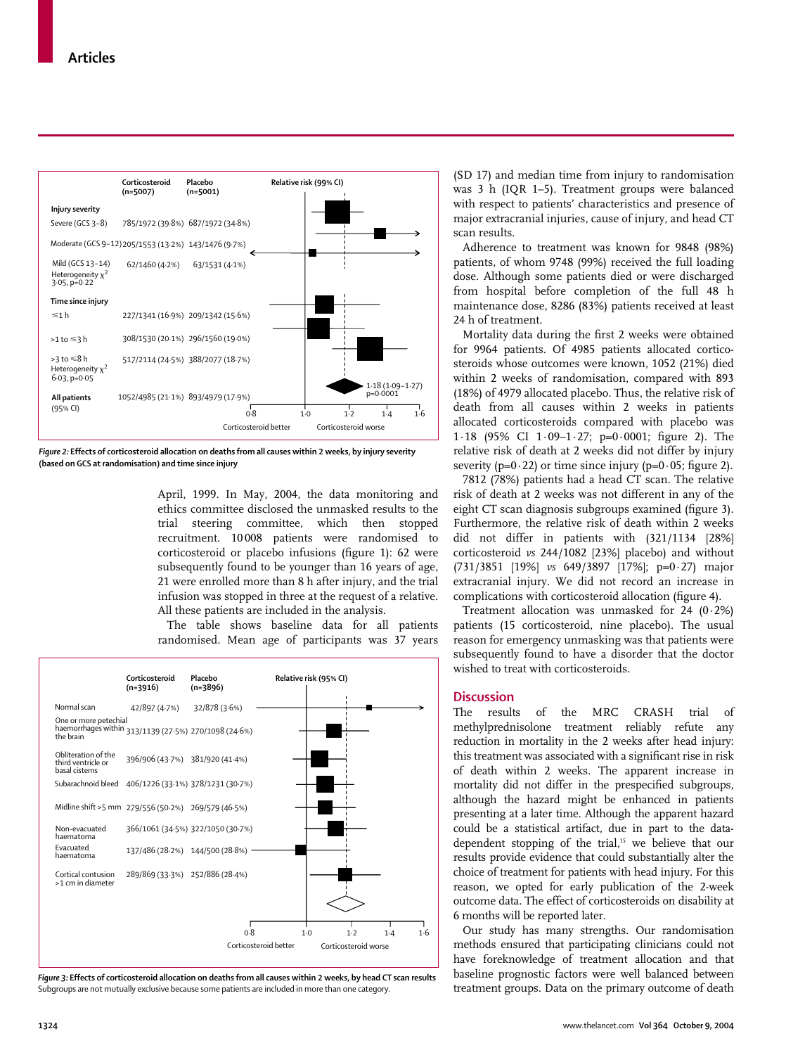

*Figure 2:* **Effects of corticosteroid allocation on deaths from all causes within 2 weeks, by injury severity (based on GCS at randomisation) and time since injury**

April, 1999. In May, 2004, the data monitoring and ethics committee disclosed the unmasked results to the trial steering committee, which then stopped recruitment. 10 008 patients were randomised to corticosteroid or placebo infusions (figure 1): 62 were subsequently found to be younger than 16 years of age, 21 were enrolled more than 8 h after injury, and the trial infusion was stopped in three at the request of a relative. All these patients are included in the analysis.

The table shows baseline data for all patients randomised. Mean age of participants was 37 years



*Figure 3:* **Effects of corticosteroid allocation on deaths from all causes within 2 weeks, by head CT scan results** Subgroups are not mutually exclusive because some patients are included in more than one category.

(SD 17) and median time from injury to randomisation was 3 h (IQR 1–5). Treatment groups were balanced with respect to patients' characteristics and presence of major extracranial injuries, cause of injury, and head CT scan results.

Adherence to treatment was known for 9848 (98%) patients, of whom 9748 (99%) received the full loading dose. Although some patients died or were discharged from hospital before completion of the full 48 h maintenance dose, 8286 (83%) patients received at least 24 h of treatment.

Mortality data during the first 2 weeks were obtained for 9964 patients. Of 4985 patients allocated corticosteroids whose outcomes were known, 1052 (21%) died within 2 weeks of randomisation, compared with 893 (18%) of 4979 allocated placebo. Thus, the relative risk of death from all causes within 2 weeks in patients allocated corticosteroids compared with placebo was 1·18 (95% CI 1·09–1·27; p=0·0001; figure 2). The relative risk of death at 2 weeks did not differ by injury severity ( $p=0.22$ ) or time since injury ( $p=0.05$ ; figure 2).

7812 (78%) patients had a head CT scan. The relative risk of death at 2 weeks was not different in any of the eight CT scan diagnosis subgroups examined (figure 3). Furthermore, the relative risk of death within 2 weeks did not differ in patients with (321/1134 [28%] corticosteroid *vs* 244/1082 [23%] placebo) and without (731/3851 [19%] *vs* 649/3897 [17%]; p=0·27) major extracranial injury. We did not record an increase in complications with corticosteroid allocation (figure 4).

Treatment allocation was unmasked for 24 (0·2%) patients (15 corticosteroid, nine placebo). The usual reason for emergency unmasking was that patients were subsequently found to have a disorder that the doctor wished to treat with corticosteroids.

# **Discussion**

The results of the MRC CRASH trial of methylprednisolone treatment reliably refute any reduction in mortality in the 2 weeks after head injury: this treatment was associated with a significant rise in risk of death within 2 weeks. The apparent increase in mortality did not differ in the prespecified subgroups, although the hazard might be enhanced in patients presenting at a later time. Although the apparent hazard could be a statistical artifact, due in part to the datadependent stopping of the trial,<sup>15</sup> we believe that our results provide evidence that could substantially alter the choice of treatment for patients with head injury. For this reason, we opted for early publication of the 2-week outcome data. The effect of corticosteroids on disability at 6 months will be reported later.

Our study has many strengths. Our randomisation methods ensured that participating clinicians could not have foreknowledge of treatment allocation and that baseline prognostic factors were well balanced between treatment groups. Data on the primary outcome of death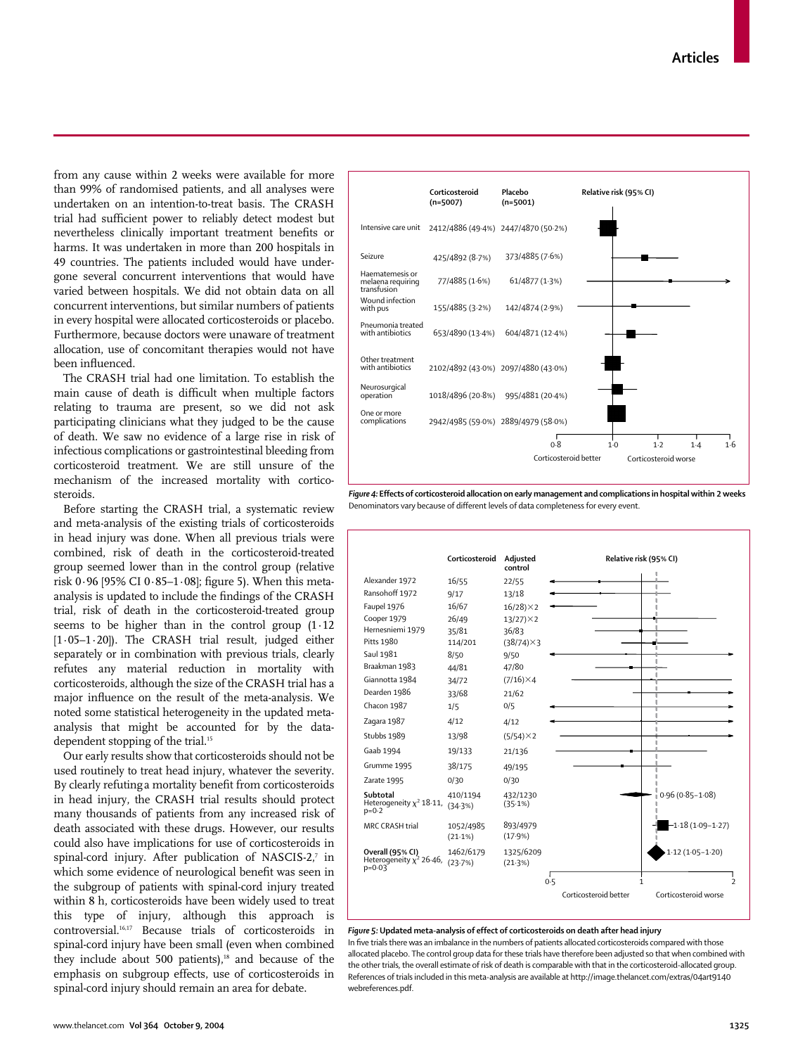from any cause within 2 weeks were available for more than 99% of randomised patients, and all analyses were undertaken on an intention-to-treat basis. The CRASH trial had sufficient power to reliably detect modest but nevertheless clinically important treatment benefits or harms. It was undertaken in more than 200 hospitals in 49 countries. The patients included would have undergone several concurrent interventions that would have varied between hospitals. We did not obtain data on all concurrent interventions, but similar numbers of patients in every hospital were allocated corticosteroids or placebo. Furthermore, because doctors were unaware of treatment allocation, use of concomitant therapies would not have been influenced.

The CRASH trial had one limitation. To establish the main cause of death is difficult when multiple factors relating to trauma are present, so we did not ask participating clinicians what they judged to be the cause of death. We saw no evidence of a large rise in risk of infectious complications or gastrointestinal bleeding from corticosteroid treatment. We are still unsure of the mechanism of the increased mortality with corticosteroids.

Before starting the CRASH trial, a systematic review and meta-analysis of the existing trials of corticosteroids in head injury was done. When all previous trials were combined, risk of death in the corticosteroid-treated group seemed lower than in the control group (relative risk 0·96 [95% CI 0·85–1·08]; figure 5). When this metaanalysis is updated to include the findings of the CRASH trial, risk of death in the corticosteroid-treated group seems to be higher than in the control group (1·12  $[1.05-1.20]$ ). The CRASH trial result, judged either separately or in combination with previous trials, clearly refutes any material reduction in mortality with corticosteroids, although the size of the CRASH trial has a major influence on the result of the meta-analysis. We noted some statistical heterogeneity in the updated metaanalysis that might be accounted for by the datadependent stopping of the trial.<sup>15</sup>

Our early results show that corticosteroids should not be used routinely to treat head injury, whatever the severity. By clearly refutinga mortality benefit from corticosteroids in head injury, the CRASH trial results should protect many thousands of patients from any increased risk of death associated with these drugs. However, our results could also have implications for use of corticosteroids in spinal-cord injury. After publication of NASCIS-2,7 in which some evidence of neurological benefit was seen in the subgroup of patients with spinal-cord injury treated within 8 h, corticosteroids have been widely used to treat this type of injury, although this approach is controversial.16,17 Because trials of corticosteroids in spinal-cord injury have been small (even when combined they include about 500 patients), $18$  and because of the emphasis on subgroup effects, use of corticosteroids in spinal-cord injury should remain an area for debate.



*Figure 4:* **Effects of corticosteroid allocation on early management and complications in hospital within 2 weeks** Denominators vary because of different levels of data completeness for every event.



#### *Figure 5:* **Updated meta-analysis of effect of corticosteroids on death after head injury**

In five trials there was an imbalance in the numbers of patients allocated corticosteroids compared with those allocated placebo. The control group data for these trials have therefore been adjusted so that when combined with the other trials, the overall estimate of risk of death is comparable with that in the corticosteroid-allocated group. References of trials included in this meta-analysis are available at http://image.thelancet.com/extras/04art9140 webreferences.pdf.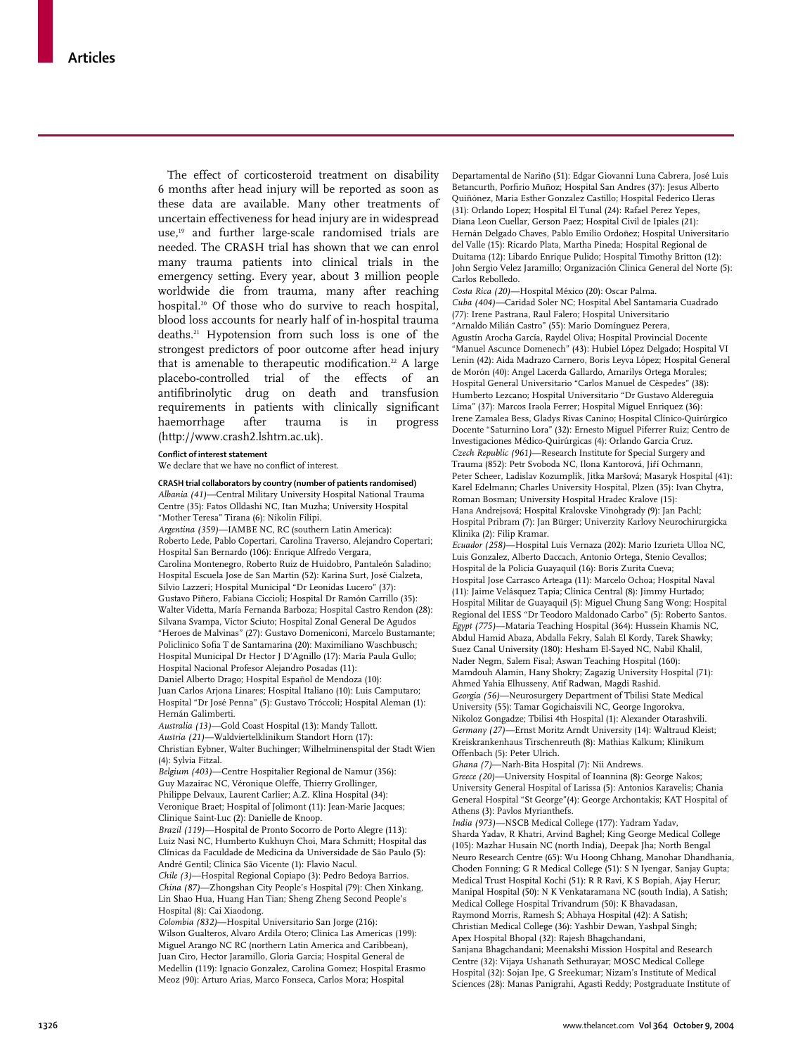The effect of corticosteroid treatment on disability 6 months after head injury will be reported as soon as these data are available. Many other treatments of uncertain effectiveness for head injury are in widespread use,19 and further large-scale randomised trials are needed. The CRASH trial has shown that we can enrol many trauma patients into clinical trials in the emergency setting. Every year, about 3 million people worldwide die from trauma, many after reaching hospital.20 Of those who do survive to reach hospital, blood loss accounts for nearly half of in-hospital trauma deaths.21 Hypotension from such loss is one of the strongest predictors of poor outcome after head injury that is amenable to therapeutic modification.<sup>22</sup> A large placebo-controlled trial of the effects of an antifibrinolytic drug on death and transfusion requirements in patients with clinically significant haemorrhage after trauma is in progress (http://www.crash2.lshtm.ac.uk).

#### **Conflict of interest statement**

We declare that we have no conflict of interest.

**CRASH trial collaborators by country (number of patients randomised)** *Albania (41)*—Central Military University Hospital National Trauma Centre (35): Fatos Olldashi NC, Itan Muzha; University Hospital "Mother Teresa" Tirana (6): Nikolin Filipi. *Argentina (359)*—IAMBE NC, RC (southern Latin America): Roberto Lede, Pablo Copertari, Carolina Traverso, Alejandro Copertari; Hospital San Bernardo (106): Enrique Alfredo Vergara, Carolina Montenegro, Roberto Ruiz de Huidobro, Pantaleón Saladino; Hospital Escuela Jose de San Martin (52): Karina Surt, José Cialzeta, Silvio Lazzeri; Hospital Municipal "Dr Leonidas Lucero" (37): Gustavo Piñero, Fabiana Ciccioli; Hospital Dr Ramón Carrillo (35): Walter Videtta, María Fernanda Barboza; Hospital Castro Rendon (28): Silvana Svampa, Victor Sciuto; Hospital Zonal General De Agudos "Heroes de Malvinas" (27): Gustavo Domeniconi, Marcelo Bustamante; Policlinico Sofia T de Santamarina (20): Maximiliano Waschbusch; Hospital Municipal Dr Hector J D'Agnillo (17): María Paula Gullo; Hospital Nacional Profesor Alejandro Posadas (11): Daniel Alberto Drago; Hospital Español de Mendoza (10): Juan Carlos Arjona Linares; Hospital Italiano (10): Luis Camputaro; Hospital "Dr José Penna" (5): Gustavo Tróccoli; Hospital Aleman (1): Hernán Galimberti. *Australia (13)*—Gold Coast Hospital (13): Mandy Tallott. *Austria (21)*—Waldviertelklinikum Standort Horn (17): Christian Eybner, Walter Buchinger; Wilhelminenspital der Stadt Wien (4): Sylvia Fitzal. *Belgium (403)*—Centre Hospitalier Regional de Namur (356): Guy Mazairac NC, Véronique Oleffe, Thierry Grollinger, Philippe Delvaux, Laurent Carlier; A.Z. Klina Hospital (34):

Veronique Braet; Hospital of Jolimont (11): Jean-Marie Jacques; Clinique Saint-Luc (2): Danielle de Knoop. *Brazil (119)*—Hospital de Pronto Socorro de Porto Alegre (113):

Luiz Nasi NC, Humberto Kukhuyn Choi, Mara Schmitt; Hospital das Clínicas da Faculdade de Medicina da Universidade de São Paulo (5): André Gentil; Clínica São Vicente (1): Flavio Nacul. *Chile (3)*—Hospital Regional Copiapo (3): Pedro Bedoya Barrios.

*China (87)*—Zhongshan City People's Hospital (79): Chen Xinkang, Lin Shao Hua, Huang Han Tian; Sheng Zheng Second People's Hospital (8): Cai Xiaodong.

*Colombia (832)*—Hospital Universitario San Jorge (216): Wilson Gualteros, Alvaro Ardila Otero; Clinica Las Americas (199): Miguel Arango NC RC (northern Latin America and Caribbean), Juan Ciro, Hector Jaramillo, Gloria Garcia; Hospital General de Medellin (119): Ignacio Gonzalez, Carolina Gomez; Hospital Erasmo Meoz (90): Arturo Arias, Marco Fonseca, Carlos Mora; Hospital

Departamental de Nariño (51): Edgar Giovanni Luna Cabrera, José Luis Betancurth, Porfirio Muñoz; Hospital San Andres (37): Jesus Alberto Quiñónez, Maria Esther Gonzalez Castillo; Hospital Federico Lleras (31): Orlando Lopez; Hospital El Tunal (24): Rafael Perez Yepes, Diana Leon Cuellar, Gerson Paez; Hospital Civil de Ipiales (21): Hernán Delgado Chaves, Pablo Emilio Ordoñez; Hospital Universitario del Valle (15): Ricardo Plata, Martha Pineda; Hospital Regional de Duitama (12): Libardo Enrique Pulido; Hospital Timothy Britton (12): John Sergio Velez Jaramillo; Organización Clinica General del Norte (5): Carlos Rebolledo.

*Costa Rica (20)*—Hospital México (20): Oscar Palma. *Cuba (404)*—Caridad Soler NC; Hospital Abel Santamaria Cuadrado (77): Irene Pastrana, Raul Falero; Hospital Universitario "Arnaldo Milián Castro" (55): Mario Domínguez Perera, Agustín Arocha García, Raydel Oliva; Hospital Provincial Docente "Manuel Ascunce Domenech" (43): Hubiel López Delgado; Hospital VI Lenin (42): Aida Madrazo Carnero, Boris Leyva López; Hospital General de Morón (40): Angel Lacerda Gallardo, Amarilys Ortega Morales; Hospital General Universitario "Carlos Manuel de Cèspedes" (38): Humberto Lezcano; Hospital Universitario "Dr Gustavo Aldereguia Lima" (37): Marcos Iraola Ferrer; Hospital Miguel Enriquez (36): Irene Zamalea Bess, Gladys Rivas Canino; Hospital Clínico-Quirúrgico Docente "Saturnino Lora" (32): Ernesto Miguel Piferrer Ruiz; Centro de Investigaciones Médico-Quirúrgicas (4): Orlando Garcia Cruz. *Czech Republic (961)*—Research Institute for Special Surgery and Trauma (852): Petr Svoboda NC, Ilona Kantorová, Jiří Ochmann, Peter Scheer, Ladislav Kozumplík, Jitka Maršová; Masaryk Hospital (41): Karel Edelmann; Charles University Hospital, Plzen (35): Ivan Chytra, Roman Bosman; University Hospital Hradec Kralove (15): Hana Andrejsová; Hospital Kralovske Vinohgrady (9): Jan Pachl; Hospital Pribram (7): Jan Bürger; Univerzity Karlovy Neurochirurgicka Klinika (2): Filip Kramar.

*Ecuador (258)*—Hospital Luis Vernaza (202): Mario Izurieta Ulloa NC, Luis Gonzalez, Alberto Daccach, Antonio Ortega, Stenio Cevallos; Hospital de la Policia Guayaquil (16): Boris Zurita Cueva; Hospital Jose Carrasco Arteaga (11): Marcelo Ochoa; Hospital Naval (11): Jaime Velásquez Tapia; Clínica Central (8): Jimmy Hurtado; Hospital Militar de Guayaquil (5): Miguel Chung Sang Wong; Hospital Regional del IESS "Dr Teodoro Maldonado Carbo" (5): Roberto Santos. *Egypt (775)*—Mataria Teaching Hospital (364): Hussein Khamis NC, Abdul Hamid Abaza, Abdalla Fekry, Salah El Kordy, Tarek Shawky; Suez Canal University (180): Hesham El-Sayed NC, Nabil Khalil, Nader Negm, Salem Fisal; Aswan Teaching Hospital (160): Mamdouh Alamin, Hany Shokry; Zagazig University Hospital (71): Ahmed Yahia Elhusseny, Atif Radwan, Magdi Rashid. *Georgia (56)*—Neurosurgery Department of Tbilisi State Medical University (55): Tamar Gogichaisvili NC, George Ingorokva, Nikoloz Gongadze; Tbilisi 4th Hospital (1): Alexander Otarashvili. *Germany (27)*—Ernst Moritz Arndt University (14): Waltraud Kleist; Kreiskrankenhaus Tirschenreuth (8): Mathias Kalkum; Klinikum Offenbach (5): Peter Ulrich.

*Ghana (7)*—Narh-Bita Hospital (7): Nii Andrews. *Greece (20)*—University Hospital of Ioannina (8): George Nakos; University General Hospital of Larissa (5): Antonios Karavelis; Chania General Hospital "St George"(4): George Archontakis; KAT Hospital of Athens (3): Pavlos Myrianthefs.

*India (973)*—NSCB Medical College (177): Yadram Yadav, Sharda Yadav, R Khatri, Arvind Baghel; King George Medical College (105): Mazhar Husain NC (north India), Deepak Jha; North Bengal Neuro Research Centre (65): Wu Hoong Chhang, Manohar Dhandhania, Choden Fonning; G R Medical College (51): S N Iyengar, Sanjay Gupta; Medical Trust Hospital Kochi (51): R R Ravi, K S Bopiah, Ajay Herur; Manipal Hospital (50): N K Venkataramana NC (south India), A Satish; Medical College Hospital Trivandrum (50): K Bhavadasan, Raymond Morris, Ramesh S; Abhaya Hospital (42): A Satish; Christian Medical College (36): Yashbir Dewan, Yashpal Singh; Apex Hospital Bhopal (32): Rajesh Bhagchandani, Sanjana Bhagchandani; Meenakshi Mission Hospital and Research Centre (32): Vijaya Ushanath Sethurayar; MOSC Medical College Hospital (32): Sojan Ipe, G Sreekumar; Nizam's Institute of Medical

Sciences (28): Manas Panigrahi, Agasti Reddy; Postgraduate Institute of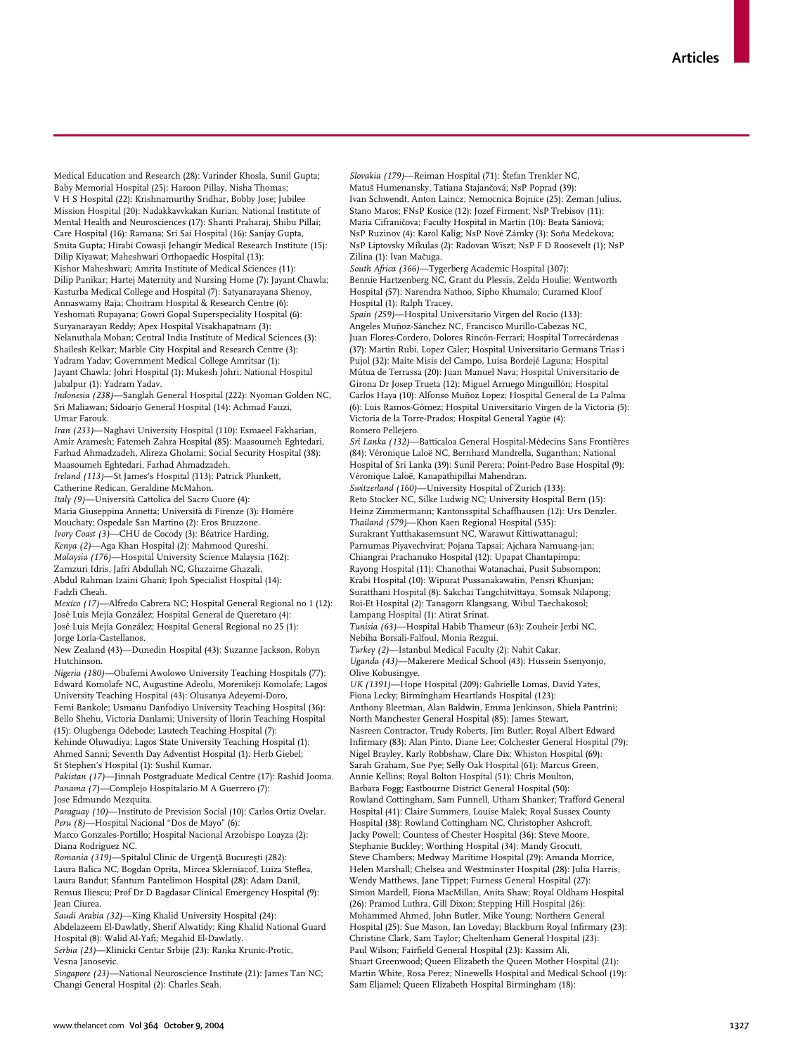Medical Education and Research (28): Varinder Khosla, Sunil Gupta; Baby Memorial Hospital (25): Haroon Pillay, Nisha Thomas; V H S Hospital (22): Krishnamurthy Sridhar, Bobby Jose; Jubilee Mission Hospital (20): Nadakkavvkakan Kurian; National Institute of Mental Health and Neurosciences (17): Shanti Praharaj, Shibu Pillai; Care Hospital (16): Ramana; Sri Sai Hospital (16): Sanjay Gupta, Smita Gupta; Hirabi Cowasji Jehangir Medical Research Institute (15): Dilip Kiyawat; Maheshwari Orthopaedic Hospital (13): Kishor Maheshwari; Amrita Institute of Medical Sciences (11): Dilip Panikar; Hartej Maternity and Nursing Home (7): Jayant Chawla; Kasturba Medical College and Hospital (7): Satyanarayana Shenoy, Annaswamy Raja; Choitram Hospital & Research Centre (6): Yeshomati Rupayana; Gowri Gopal Superspeciality Hospital (6): Suryanarayan Reddy; Apex Hospital Visakhapatnam (3): Nelanuthala Mohan; Central India Institute of Medical Sciences (3): Shailesh Kelkar; Marble City Hospital and Research Centre (3): Yadram Yadav; Government Medical College Amritsar (1): Jayant Chawla; Johri Hospital (1): Mukesh Johri; National Hospital Jabalpur (1): Yadram Yadav.

*Indonesia (238)*—Sanglah General Hospital (222): Nyoman Golden NC, Sri Maliawan; Sidoarjo General Hospital (14): Achmad Fauzi, Umar Farouk.

*Iran (233)*—Naghavi University Hospital (110): Esmaeel Fakharian, Amir Aramesh; Fatemeh Zahra Hospital (85): Maasoumeh Eghtedari, Farhad Ahmadzadeh, Alireza Gholami; Social Security Hospital (38): Maasoumeh Eghtedari, Farhad Ahmadzadeh.

*Ireland (113)*—St James's Hospital (113): Patrick Plunkett, Catherine Redican, Geraldine McMahon.

*Italy (9)*—Università Cattolica del Sacro Cuore (4):

Maria Giuseppina Annetta; Università di Firenze (3): Homère Mouchaty; Ospedale San Martino (2): Eros Bruzzone. *Ivory Coast (3)*—CHU de Cocody (3): Béatrice Harding. *Kenya (2)*—Aga Khan Hospital (2): Mahmood Qureshi. *Malaysia (176)*—Hospital University Science Malaysia (162): Zamzuri Idris, Jafri Abdullah NC, Ghazaime Ghazali, Abdul Rahman Izaini Ghani; Ipoh Specialist Hospital (14): Fadzli Cheah.

*Mexico (17)*—Alfredo Cabrera NC; Hospital General Regional no 1 (12): José Luis Mejía González; Hospital General de Queretaro (4): José Luis Mejía González; Hospital General Regional no 25 (1): Jorge Loría-Castellanos.

New Zealand (43)—Dunedin Hospital (43): Suzanne Jackson, Robyn Hutchinson.

*Nigeria (180)*—Obafemi Awolowo University Teaching Hospitals (77): Edward Komolafe NC, Augustine Adeolu, Morenikeji Komolafe; Lagos University Teaching Hospital (43): Olusanya Adeyemi-Doro, Femi Bankole; Usmanu Danfodiyo University Teaching Hospital (36): Bello Shehu, Victoria Danlami; University of Ilorin Teaching Hospital (15): Olugbenga Odebode; Lautech Teaching Hospital (7): Kehinde Oluwadiya; Lagos State University Teaching Hospital (1): Ahmed Sanni; Seventh Day Adventist Hospital (1): Herb Giebel; St Stephen's Hospital (1): Sushil Kumar.

*Pakistan (17)*—Jinnah Postgraduate Medical Centre (17): Rashid Jooma. *Panama (7)*—Complejo Hospitalario M A Guerrero (7): Jose Edmundo Mezquita.

*Paraguay (10)*—Instituto de Prevision Social (10): Carlos Ortiz Ovelar. *Peru (8)*—Hospital Nacional "Dos de Mayo" (6):

Marco Gonzales-Portillo; Hospital Nacional Arzobispo Loayza (2): Diana Rodriguez NC.

*Romania (319)*—Spitalul Clinic de Urgență București (282): Laura Balica NC, Bogdan Oprita, Mircea Sklerniacof, Luiza Steflea, Laura Bandut; Sfantum Pantelimon Hospital (28): Adam Danil, Remus Iliescu; Prof Dr D Bagdasar Clinical Emergency Hospital (9): Jean Ciurea.

*Saudi Arabia (32)*—King Khalid University Hospital (24): Abdelazeem El-Dawlatly, Sherif Alwatidy; King Khalid National Guard Hospital (8): Walid Al-Yafi; Megahid El-Dawlatly.

*Serbia (23)*—Klinicki Centar Srbije (23): Ranka Krunic-Protic, Vesna Janosevic.

*Singapore (23)*—National Neuroscience Institute (21): James Tan NC; Changi General Hospital (2): Charles Seah.

*Slovakia (179)*—Reiman Hospital (71): Štefan Trenkler NC, Matuš Humenansky, Tatiana Stajančová; NsP Poprad (39): Ivan Schwendt, Anton Laincz; Nemocnica Bojnice (25): Zeman Julius, Stano Maros; FNsP Kosice (12): Jozef Firment; NsP Trebisov (11): Maria Cifraničova; Faculty Hospital in Martin (10): Beata Sániová; NsP Ruzinov (4): Karol Kalig; NsP Nové Zámky (3): Soňa Medekova; NsP Liptovsky Mikulas (2): Radovan Wiszt; NsP F D Roosevelt (1); NsP Zilina (1): Ivan Mačuga.

*South Africa (366)*—Tygerberg Academic Hospital (307): Bennie Hartzenberg NC, Grant du Plessis, Zelda Houlie; Wentworth Hospital (57): Narendra Nathoo, Sipho Khumalo; Curamed Kloof Hospital (1): Ralph Tracey.

*Spain (259)*—Hospital Universitario Virgen del Rocio (133): Angeles Muñoz-Sánchez NC, Francisco Murillo-Cabezas NC, Juan Flores-Cordero, Dolores Rincón-Ferrari; Hospital Torrecárdenas (37): Martin Rubi, Lopez Caler; Hospital Universitario Germans Trias i Pujol (32): Maite Misis del Campo, Luisa Bordejé Laguna; Hospital Mútua de Terrassa (20): Juan Manuel Nava; Hospital Universitario de Girona Dr Josep Trueta (12): Miguel Arruego Minguillón; Hospital Carlos Haya (10): Alfonso Muñoz Lopez; Hospital General de La Palma (6): Luis Ramos-Gómez; Hospital Universitario Virgen de la Victoria (5): Victoria de la Torre-Prados; Hospital General Yagüe (4): Romero Pellejero.

*Sri Lanka (132)*—Batticaloa General Hospital-Médecins Sans Frontières (84): Véronique Laloë NC, Bernhard Mandrella, Suganthan; National Hospital of Sri Lanka (39): Sunil Perera; Point-Pedro Base Hospital (9): Véronique Laloë, Kanapathipillai Mahendran.

*Switzerland (160)*—University Hospital of Zurich (133): Reto Stocker NC, Silke Ludwig NC; University Hospital Bern (15): Heinz Zimmermann; Kantonsspital Schaffhausen (12): Urs Denzler. *Thailand (579)*—Khon Kaen Regional Hospital (535):

Surakrant Yutthakasemsunt NC, Warawut Kittiwattanagul; Parnumas Piyavechvirat; Pojana Tapsai; Ajchara Namuang-jan; Chiangrai Prachanuko Hospital (12): Upapat Chantapimpa; Rayong Hospital (11): Chanothai Watanachai, Pusit Subsompon; Krabi Hospital (10): Wipurat Pussanakawatin, Pensri Khunjan; Suratthani Hospital (8): Sakchai Tangchitvittaya, Somsak Nilapong; Roi-Et Hospital (2): Tanagorn Klangsang, Wibul Taechakosol;

Lampang Hospital (1): Atirat Srinat. *Tunisia (63)*—Hospital Habib Thameur (63): Zouheir Jerbi NC,

Nebiha Borsali-Falfoul, Monia Rezgui. *Turkey (2)*—Istanbul Medical Faculty (2): Nahit Cakar.

*Uganda (43)*—Makerere Medical School (43): Hussein Ssenyonjo, Olive Kobusingye.

*UK (1391)*—Hope Hospital (209): Gabrielle Lomas, David Yates, Fiona Lecky; Birmingham Heartlands Hospital (123): Anthony Bleetman, Alan Baldwin, Emma Jenkinson, Shiela Pantrini; North Manchester General Hospital (85): James Stewart, Nasreen Contractor, Trudy Roberts, Jim Butler; Royal Albert Edward Infirmary (83): Alan Pinto, Diane Lee; Colchester General Hospital (79): Nigel Brayley, Karly Robbshaw, Clare Dix; Whiston Hospital (69): Sarah Graham, Sue Pye; Selly Oak Hospital (61): Marcus Green, Annie Kellins; Royal Bolton Hospital (51): Chris Moulton, Barbara Fogg; Eastbourne District General Hospital (50): Rowland Cottingham, Sam Funnell, Utham Shanker; Trafford General Hospital (41): Claire Summers, Louise Malek; Royal Sussex County Hospital (38): Rowland Cottingham NC, Christopher Ashcroft, Jacky Powell; Countess of Chester Hospital (36): Steve Moore, Stephanie Buckley; Worthing Hospital (34): Mandy Grocutt, Steve Chambers; Medway Maritime Hospital (29): Amanda Morrice, Helen Marshall; Chelsea and Westminster Hospital (28): Julia Harris, Wendy Matthews, Jane Tippet; Furness General Hospital (27): Simon Mardell, Fiona MacMillan, Anita Shaw; Royal Oldham Hospital (26): Pramod Luthra, Gill Dixon; Stepping Hill Hospital (26): Mohammed Ahmed, John Butler, Mike Young; Northern General Hospital (25): Sue Mason, Ian Loveday; Blackburn Royal Infirmary (23): Christine Clark, Sam Taylor; Cheltenham General Hospital (23): Paul Wilson; Fairfield General Hospital (23): Kassim Ali, Stuart Greenwood; Queen Elizabeth the Queen Mother Hospital (21): Martin White, Rosa Perez; Ninewells Hospital and Medical School (19): Sam Eljamel; Queen Elizabeth Hospital Birmingham (18):